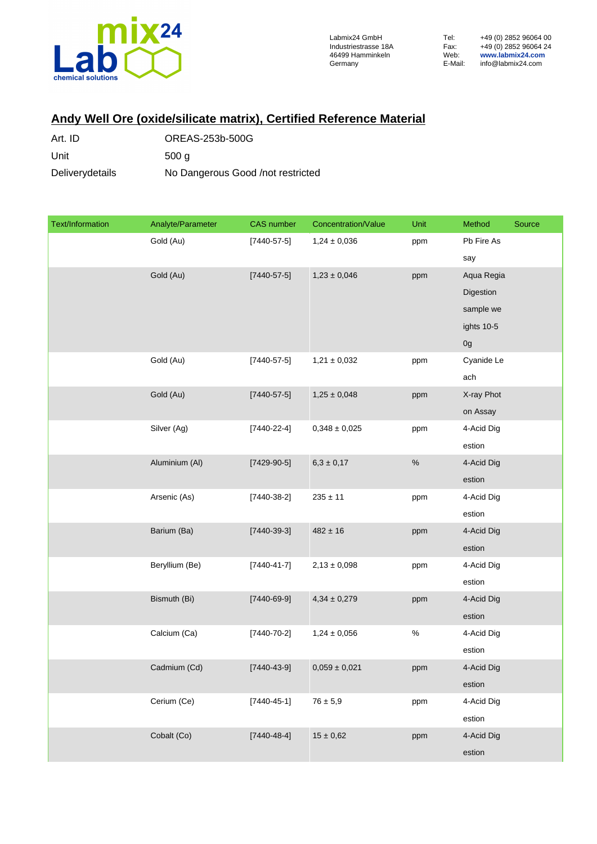

## **Andy Well Ore (oxide/silicate matrix), Certified Reference Material**

| Art. ID         | OREAS-253b-500G                   |
|-----------------|-----------------------------------|
| Unit            | 500q                              |
| Deliverydetails | No Dangerous Good /not restricted |

| Text/Information | Analyte/Parameter | <b>CAS</b> number | Concentration/Value | Unit | Method     | Source |
|------------------|-------------------|-------------------|---------------------|------|------------|--------|
|                  | Gold (Au)         | $[7440 - 57 - 5]$ | $1,24 \pm 0,036$    | ppm  | Pb Fire As |        |
|                  |                   |                   |                     |      | say        |        |
|                  | Gold (Au)         | $[7440 - 57 - 5]$ | $1,23 \pm 0,046$    | ppm  | Aqua Regia |        |
|                  |                   |                   |                     |      | Digestion  |        |
|                  |                   |                   |                     |      | sample we  |        |
|                  |                   |                   |                     |      | ights 10-5 |        |
|                  |                   |                   |                     |      | 0g         |        |
|                  | Gold (Au)         | $[7440 - 57 - 5]$ | $1,21 \pm 0,032$    | ppm  | Cyanide Le |        |
|                  |                   |                   |                     |      | ach        |        |
|                  | Gold (Au)         | $[7440 - 57 - 5]$ | $1,25 \pm 0,048$    | ppm  | X-ray Phot |        |
|                  |                   |                   |                     |      | on Assay   |        |
|                  | Silver (Ag)       | $[7440-22-4]$     | $0,348 \pm 0,025$   | ppm  | 4-Acid Dig |        |
|                  |                   |                   |                     |      | estion     |        |
|                  | Aluminium (AI)    | $[7429-90-5]$     | $6.3\pm0.17$        | $\%$ | 4-Acid Dig |        |
|                  |                   |                   |                     |      | estion     |        |
|                  | Arsenic (As)      | $[7440-38-2]$     | $235 \pm 11$        | ppm  | 4-Acid Dig |        |
|                  |                   |                   |                     |      | estion     |        |
|                  | Barium (Ba)       | $[7440-39-3]$     | $482 \pm 16$        | ppm  | 4-Acid Dig |        |
|                  |                   |                   |                     |      | estion     |        |
|                  | Beryllium (Be)    | $[7440 - 41 - 7]$ | $2,13 \pm 0,098$    | ppm  | 4-Acid Dig |        |
|                  |                   |                   |                     |      | estion     |        |
|                  | Bismuth (Bi)      | $[7440 - 69 - 9]$ | $4,34 \pm 0,279$    | ppm  | 4-Acid Dig |        |
|                  |                   |                   |                     |      | estion     |        |
|                  | Calcium (Ca)      | $[7440 - 70 - 2]$ | $1,24 \pm 0,056$    | $\%$ | 4-Acid Dig |        |
|                  |                   |                   |                     |      | estion     |        |
|                  | Cadmium (Cd)      | $[7440 - 43 - 9]$ | $0,059 \pm 0,021$   | ppm  | 4-Acid Dig |        |
|                  |                   |                   |                     |      | estion     |        |
|                  | Cerium (Ce)       | $[7440 - 45 - 1]$ | $76 \pm 5,9$        | ppm  | 4-Acid Dig |        |
|                  |                   |                   |                     |      | estion     |        |
|                  | Cobalt (Co)       | $[7440 - 48 - 4]$ | $15\pm0{,}62$       | ppm  | 4-Acid Dig |        |
|                  |                   |                   |                     |      | estion     |        |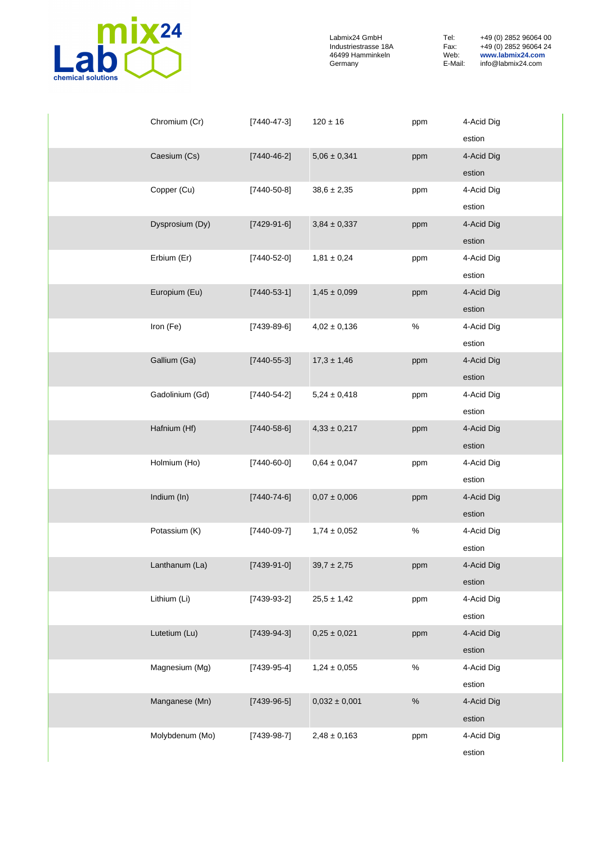

| Chromium (Cr)   | $[7440 - 47 - 3]$ | $120 \pm 16$      | ppm  | 4-Acid Dig |
|-----------------|-------------------|-------------------|------|------------|
|                 |                   |                   |      | estion     |
| Caesium (Cs)    | $[7440 - 46 - 2]$ | $5,06 \pm 0,341$  | ppm  | 4-Acid Dig |
|                 |                   |                   |      | estion     |
| Copper (Cu)     | $[7440 - 50 - 8]$ | $38,6 \pm 2,35$   | ppm  | 4-Acid Dig |
|                 |                   |                   |      | estion     |
| Dysprosium (Dy) | $[7429-91-6]$     | $3,84 \pm 0,337$  | ppm  | 4-Acid Dig |
|                 |                   |                   |      | estion     |
| Erbium (Er)     | $[7440 - 52 - 0]$ | $1,81 \pm 0,24$   | ppm  | 4-Acid Dig |
|                 |                   |                   |      | estion     |
| Europium (Eu)   | $[7440 - 53 - 1]$ | $1,45 \pm 0,099$  | ppm  | 4-Acid Dig |
|                 |                   |                   |      | estion     |
| Iron (Fe)       | $[7439-89-6]$     | $4,02 \pm 0,136$  | $\%$ | 4-Acid Dig |
|                 |                   |                   |      | estion     |
| Gallium (Ga)    | $[7440 - 55 - 3]$ | $17,3 \pm 1,46$   | ppm  | 4-Acid Dig |
|                 |                   |                   |      | estion     |
| Gadolinium (Gd) | $[7440 - 54 - 2]$ | $5,24 \pm 0,418$  | ppm  | 4-Acid Dig |
|                 |                   |                   |      | estion     |
| Hafnium (Hf)    | $[7440 - 58 - 6]$ | $4,33 \pm 0,217$  | ppm  | 4-Acid Dig |
|                 |                   |                   |      | estion     |
| Holmium (Ho)    | $[7440 - 60 - 0]$ | $0,64 \pm 0,047$  | ppm  | 4-Acid Dig |
|                 |                   |                   |      | estion     |
| Indium (In)     | $[7440 - 74 - 6]$ | $0,07 \pm 0,006$  | ppm  | 4-Acid Dig |
|                 |                   |                   |      | estion     |
| Potassium (K)   | $[7440-09-7]$     | $1,74 \pm 0,052$  | $\%$ | 4-Acid Dig |
|                 |                   |                   |      | estion     |
| Lanthanum (La)  | $[7439-91-0]$     | $39,7 \pm 2,75$   | ppm  | 4-Acid Dig |
|                 |                   |                   |      | estion     |
| Lithium (Li)    | $[7439-93-2]$     | $25,5 \pm 1,42$   | ppm  | 4-Acid Dig |
|                 |                   |                   |      | estion     |
| Lutetium (Lu)   | $[7439-94-3]$     | $0,25 \pm 0,021$  | ppm  | 4-Acid Dig |
|                 |                   |                   |      | estion     |
| Magnesium (Mg)  | $[7439-95-4]$     | $1,24 \pm 0,055$  | $\%$ | 4-Acid Dig |
|                 |                   |                   |      | estion     |
| Manganese (Mn)  | $[7439-96-5]$     | $0,032 \pm 0,001$ | $\%$ | 4-Acid Dig |
|                 |                   |                   |      | estion     |
| Molybdenum (Mo) | $[7439-98-7]$     | $2,48 \pm 0,163$  | ppm  | 4-Acid Dig |
|                 |                   |                   |      | estion     |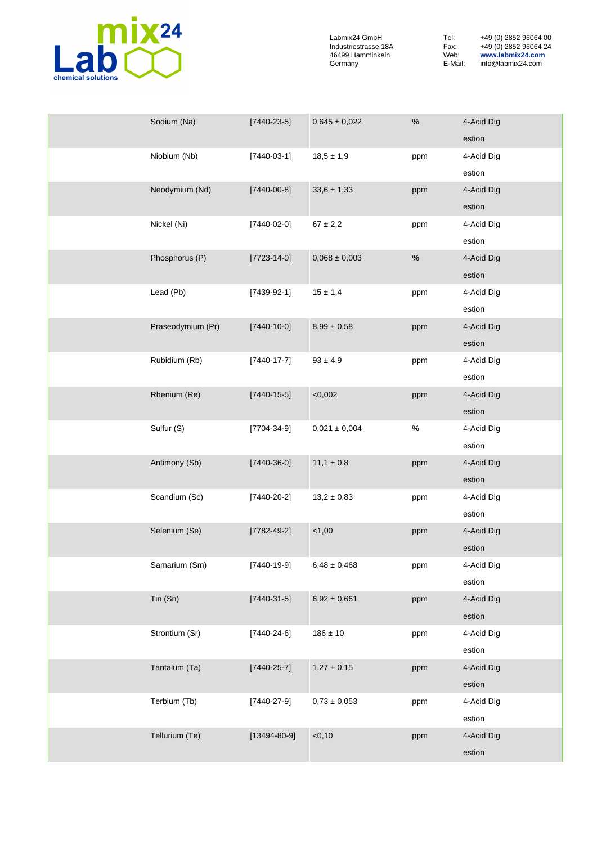

| Sodium (Na)       | $[7440-23-5]$      | $0,645 \pm 0,022$ | $\%$ | 4-Acid Dig |
|-------------------|--------------------|-------------------|------|------------|
|                   |                    |                   |      | estion     |
| Niobium (Nb)      | $[7440-03-1]$      | $18,5 \pm 1,9$    | ppm  | 4-Acid Dig |
|                   |                    |                   |      | estion     |
| Neodymium (Nd)    | $[7440 - 00 - 8]$  | $33,6 \pm 1,33$   | ppm  | 4-Acid Dig |
|                   |                    |                   |      | estion     |
| Nickel (Ni)       | $[7440-02-0]$      | $67 \pm 2,2$      | ppm  | 4-Acid Dig |
|                   |                    |                   |      | estion     |
| Phosphorus (P)    | $[7723 - 14 - 0]$  | $0,068 \pm 0,003$ | $\%$ | 4-Acid Dig |
|                   |                    |                   |      | estion     |
| Lead (Pb)         | $[7439-92-1]$      | $15 \pm 1,4$      | ppm  | 4-Acid Dig |
|                   |                    |                   |      | estion     |
| Praseodymium (Pr) | $[7440 - 10 - 0]$  | $8,99 \pm 0,58$   | ppm  | 4-Acid Dig |
|                   |                    |                   |      | estion     |
| Rubidium (Rb)     | $[7440 - 17 - 7]$  | $93 \pm 4,9$      | ppm  | 4-Acid Dig |
|                   |                    |                   |      | estion     |
| Rhenium (Re)      | $[7440-15-5]$      | < 0,002           | ppm  | 4-Acid Dig |
|                   |                    |                   |      | estion     |
| Sulfur (S)        | $[7704-34-9]$      | $0,021 \pm 0,004$ | $\%$ | 4-Acid Dig |
|                   |                    |                   |      | estion     |
| Antimony (Sb)     | $[7440-36-0]$      | $11,1 \pm 0,8$    | ppm  | 4-Acid Dig |
|                   |                    |                   |      | estion     |
| Scandium (Sc)     | $[7440-20-2]$      | $13,2 \pm 0,83$   | ppm  | 4-Acid Dig |
|                   |                    |                   |      | estion     |
| Selenium (Se)     | $[7782 - 49 - 2]$  | 1,00              | ppm  | 4-Acid Dig |
|                   |                    |                   |      | estion     |
| Samarium (Sm)     | $[7440-19-9]$      | $6,48 \pm 0,468$  | ppm  | 4-Acid Dig |
|                   |                    |                   |      | estion     |
| Tin (Sn)          | $[7440-31-5]$      | $6,92 \pm 0,661$  | ppm  | 4-Acid Dig |
|                   |                    |                   |      | estion     |
| Strontium (Sr)    | $[7440 - 24 - 6]$  | $186 \pm 10$      | ppm  | 4-Acid Dig |
|                   |                    |                   |      | estion     |
| Tantalum (Ta)     | $[7440 - 25 - 7]$  | $1,27 \pm 0,15$   | ppm  | 4-Acid Dig |
|                   |                    |                   |      | estion     |
| Terbium (Tb)      | $[7440-27-9]$      | $0,73 \pm 0,053$  | ppm  | 4-Acid Dig |
|                   |                    |                   |      | estion     |
| Tellurium (Te)    | $[13494 - 80 - 9]$ | $<$ 0,10          | ppm  | 4-Acid Dig |
|                   |                    |                   |      | estion     |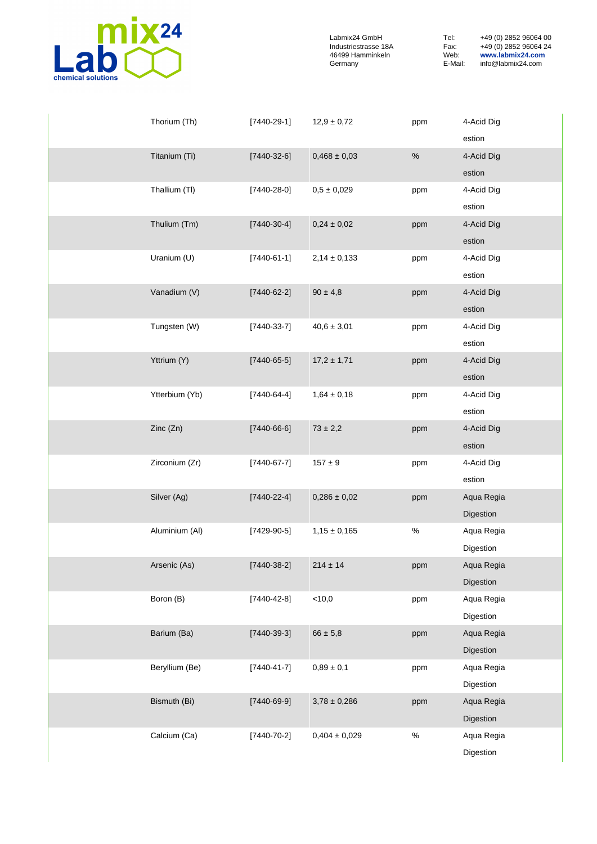

| Thorium (Th)   | $[7440-29-1]$     | $12,9 \pm 0,72$   | ppm  | 4-Acid Dig |
|----------------|-------------------|-------------------|------|------------|
|                |                   |                   |      | estion     |
| Titanium (Ti)  | $[7440-32-6]$     | $0,468 \pm 0,03$  | $\%$ | 4-Acid Dig |
|                |                   |                   |      | estion     |
| Thallium (TI)  | $[7440 - 28 - 0]$ | $0,5 \pm 0,029$   | ppm  | 4-Acid Dig |
|                |                   |                   |      | estion     |
| Thulium (Tm)   | $[7440-30-4]$     | $0,24 \pm 0,02$   | ppm  | 4-Acid Dig |
|                |                   |                   |      | estion     |
| Uranium (U)    | $[7440-61-1]$     | $2,14 \pm 0,133$  | ppm  | 4-Acid Dig |
|                |                   |                   |      | estion     |
| Vanadium (V)   | $[7440-62-2]$     | $90 \pm 4,8$      | ppm  | 4-Acid Dig |
|                |                   |                   |      | estion     |
| Tungsten (W)   | $[7440-33-7]$     | $40,6 \pm 3,01$   | ppm  | 4-Acid Dig |
|                |                   |                   |      | estion     |
| Yttrium (Y)    | $[7440-65-5]$     | $17,2 \pm 1,71$   | ppm  | 4-Acid Dig |
|                |                   |                   |      | estion     |
| Ytterbium (Yb) | $[7440-64-4]$     | $1,64 \pm 0,18$   | ppm  | 4-Acid Dig |
|                |                   |                   |      | estion     |
| Zinc (Zn)      | $[7440-66-6]$     | $73 \pm 2,2$      | ppm  | 4-Acid Dig |
|                |                   |                   |      | estion     |
| Zirconium (Zr) | $[7440-67-7]$     | $157 \pm 9$       | ppm  | 4-Acid Dig |
|                |                   |                   |      | estion     |
| Silver (Ag)    | $[7440 - 22 - 4]$ | $0,286 \pm 0,02$  | ppm  | Aqua Regia |
|                |                   |                   |      | Digestion  |
| Aluminium (AI) | $[7429-90-5]$     | $1,15 \pm 0,165$  | $\%$ | Aqua Regia |
|                |                   |                   |      | Digestion  |
| Arsenic (As)   | $[7440-38-2]$     | $214 \pm 14$      | ppm  | Aqua Regia |
|                |                   |                   |      | Digestion  |
| Boron (B)      | $[7440 - 42 - 8]$ | $<$ 10,0          | ppm  | Aqua Regia |
|                |                   |                   |      | Digestion  |
| Barium (Ba)    | $[7440-39-3]$     | $66 \pm 5,8$      | ppm  | Aqua Regia |
|                |                   |                   |      | Digestion  |
| Beryllium (Be) | $[7440 - 41 - 7]$ | $0,89 \pm 0,1$    | ppm  | Aqua Regia |
|                |                   |                   |      | Digestion  |
| Bismuth (Bi)   | $[7440 - 69 - 9]$ | $3,78 \pm 0,286$  | ppm  | Aqua Regia |
|                |                   |                   |      | Digestion  |
| Calcium (Ca)   | $[7440 - 70 - 2]$ | $0,404 \pm 0,029$ | $\%$ | Aqua Regia |
|                |                   |                   |      | Digestion  |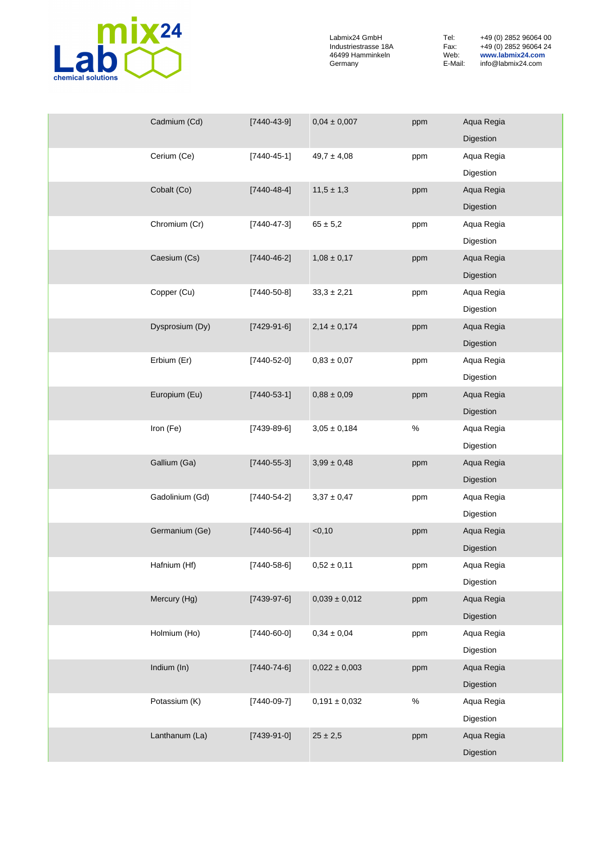

| Cadmium (Cd)    | $[7440 - 43 - 9]$ | $0,04 \pm 0,007$  | ppm  | Aqua Regia              |
|-----------------|-------------------|-------------------|------|-------------------------|
|                 |                   |                   |      | Digestion               |
| Cerium (Ce)     | $[7440 - 45 - 1]$ | $49,7 \pm 4,08$   | ppm  | Aqua Regia              |
|                 |                   |                   |      | Digestion               |
| Cobalt (Co)     | $[7440 - 48 - 4]$ | $11,5 \pm 1,3$    | ppm  | Aqua Regia              |
|                 |                   |                   |      | Digestion               |
| Chromium (Cr)   | $[7440 - 47 - 3]$ | $65 \pm 5,2$      | ppm  | Aqua Regia              |
|                 |                   |                   |      | Digestion               |
| Caesium (Cs)    | $[7440 - 46 - 2]$ | $1,08 \pm 0,17$   | ppm  | Aqua Regia              |
|                 |                   |                   |      | Digestion               |
| Copper (Cu)     | $[7440 - 50 - 8]$ | $33,3 \pm 2,21$   | ppm  | Aqua Regia              |
|                 |                   |                   |      | Digestion               |
| Dysprosium (Dy) | $[7429-91-6]$     | $2,14 \pm 0,174$  | ppm  | Aqua Regia              |
|                 |                   |                   |      | Digestion               |
| Erbium (Er)     | $[7440 - 52 - 0]$ | $0,\!83\pm0,\!07$ | ppm  | Aqua Regia              |
| Europium (Eu)   |                   | $0,88 \pm 0,09$   |      | Digestion<br>Aqua Regia |
|                 | $[7440 - 53 - 1]$ |                   | ppm  | Digestion               |
| Iron (Fe)       | $[7439-89-6]$     | $3,05 \pm 0,184$  | $\%$ | Aqua Regia              |
|                 |                   |                   |      | Digestion               |
| Gallium (Ga)    | $[7440 - 55 - 3]$ | $3,99 \pm 0,48$   | ppm  | Aqua Regia              |
|                 |                   |                   |      | Digestion               |
| Gadolinium (Gd) | $[7440 - 54 - 2]$ | $3,37 \pm 0,47$   | ppm  | Aqua Regia              |
|                 |                   |                   |      | Digestion               |
| Germanium (Ge)  | $[7440 - 56 - 4]$ | $<$ 0,10          | ppm  | Aqua Regia              |
|                 |                   |                   |      | Digestion               |
| Hafnium (Hf)    | $[7440 - 58 - 6]$ | $0,\!52\pm0,\!11$ | ppm  | Aqua Regia              |
|                 |                   |                   |      | Digestion               |
| Mercury (Hg)    | $[7439-97-6]$     | $0,039 \pm 0,012$ | ppm  | Aqua Regia              |
|                 |                   |                   |      | Digestion               |
| Holmium (Ho)    | $[7440-60-0]$     | $0,34 \pm 0,04$   | ppm  | Aqua Regia              |
|                 |                   |                   |      | Digestion               |
| Indium (In)     | $[7440 - 74 - 6]$ | $0,022 \pm 0,003$ | ppm  | Aqua Regia              |
|                 |                   |                   |      | Digestion               |
| Potassium (K)   | $[7440-09-7]$     | $0,191 \pm 0,032$ | $\%$ | Aqua Regia              |
|                 |                   |                   |      | Digestion               |
| Lanthanum (La)  | $[7439-91-0]$     | $25\pm2,5$        | ppm  | Aqua Regia              |
|                 |                   |                   |      | Digestion               |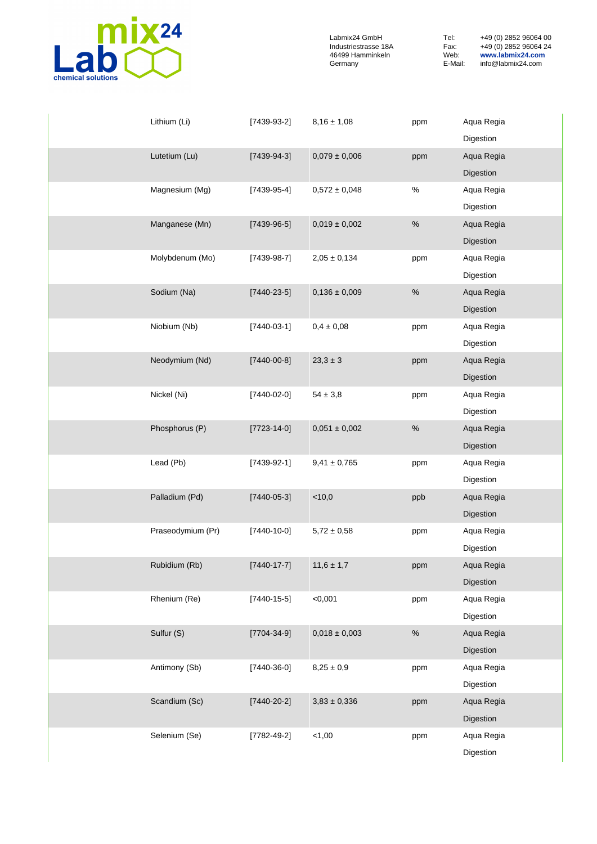

| Lithium (Li)      | $[7439-93-2]$     | $8,16 \pm 1,08$     | ppm  | Aqua Regia |
|-------------------|-------------------|---------------------|------|------------|
|                   |                   |                     |      | Digestion  |
| Lutetium (Lu)     | $[7439-94-3]$     | $0,\!079\pm0,\!006$ | ppm  | Aqua Regia |
|                   |                   |                     |      | Digestion  |
| Magnesium (Mg)    | $[7439-95-4]$     | $0,\!572\pm0,\!048$ | $\%$ | Aqua Regia |
|                   |                   |                     |      | Digestion  |
| Manganese (Mn)    | $[7439-96-5]$     | $0,019 \pm 0,002$   | $\%$ | Aqua Regia |
|                   |                   |                     |      | Digestion  |
| Molybdenum (Mo)   | $[7439-98-7]$     | $2,05 \pm 0,134$    | ppm  | Aqua Regia |
|                   |                   |                     |      | Digestion  |
| Sodium (Na)       | $[7440-23-5]$     | $0,136 \pm 0,009$   | $\%$ | Aqua Regia |
|                   |                   |                     |      | Digestion  |
| Niobium (Nb)      | $[7440-03-1]$     | $0,4 \pm 0,08$      | ppm  | Aqua Regia |
|                   |                   |                     |      | Digestion  |
| Neodymium (Nd)    | $[7440 - 00 - 8]$ | $23.3 \pm 3$        | ppm  | Aqua Regia |
|                   |                   |                     |      | Digestion  |
| Nickel (Ni)       | $[7440-02-0]$     | $54\pm3.8$          | ppm  | Aqua Regia |
|                   |                   |                     |      | Digestion  |
| Phosphorus (P)    | $[7723 - 14 - 0]$ | $0,051 \pm 0,002$   | $\%$ | Aqua Regia |
|                   |                   |                     |      | Digestion  |
| Lead (Pb)         | $[7439-92-1]$     | $9,41 \pm 0,765$    | ppm  | Aqua Regia |
|                   |                   |                     |      | Digestion  |
| Palladium (Pd)    | $[7440 - 05 - 3]$ | $<$ 10,0            | ppb  | Aqua Regia |
|                   |                   |                     |      | Digestion  |
| Praseodymium (Pr) | $[7440 - 10 - 0]$ | $5,72 \pm 0,58$     | ppm  | Aqua Regia |
|                   |                   |                     |      | Digestion  |
| Rubidium (Rb)     | $[7440 - 17 - 7]$ | $11,6 \pm 1,7$      | ppm  | Aqua Regia |
|                   |                   |                     |      | Digestion  |
| Rhenium (Re)      | $[7440 - 15 - 5]$ | < 0,001             | ppm  | Aqua Regia |
|                   |                   |                     |      | Digestion  |
| Sulfur (S)        | $[7704 - 34 - 9]$ | $0,018 \pm 0,003$   | $\%$ | Aqua Regia |
|                   |                   |                     |      | Digestion  |
| Antimony (Sb)     | $[7440-36-0]$     | $8,25\pm0,9$        | ppm  | Aqua Regia |
|                   |                   |                     |      | Digestion  |
| Scandium (Sc)     | $[7440 - 20 - 2]$ | $3,83 \pm 0,336$    | ppm  | Aqua Regia |
|                   |                   |                     |      | Digestion  |
| Selenium (Se)     | $[7782 - 49 - 2]$ | < 1,00              | ppm  | Aqua Regia |
|                   |                   |                     |      | Digestion  |